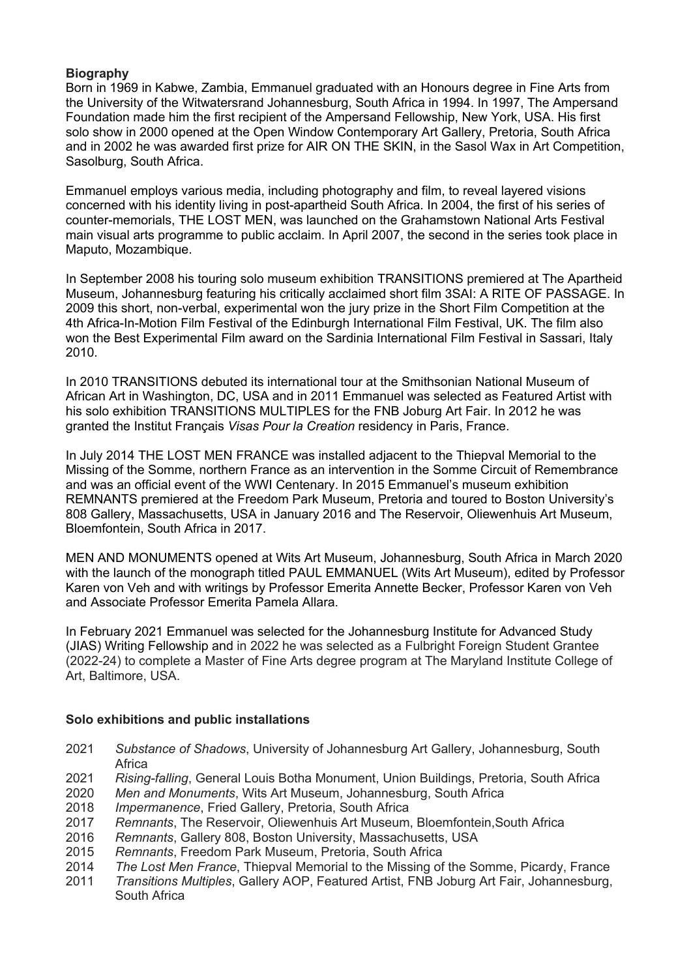## **Biography**

Born in 1969 in Kabwe, Zambia, Emmanuel graduated with an Honours degree in Fine Arts from the University of the Witwatersrand Johannesburg, South Africa in 1994. In 1997, The Ampersand Foundation made him the first recipient of the Ampersand Fellowship, New York, USA. His first solo show in 2000 opened at the Open Window Contemporary Art Gallery, Pretoria, South Africa and in 2002 he was awarded first prize for AIR ON THE SKIN, in the Sasol Wax in Art Competition, Sasolburg, South Africa.

Emmanuel employs various media, including photography and film, to reveal layered visions concerned with his identity living in post-apartheid South Africa. In 2004, the first of his series of counter-memorials, THE LOST MEN, was launched on the Grahamstown National Arts Festival main visual arts programme to public acclaim. In April 2007, the second in the series took place in Maputo, Mozambique.

In September 2008 his touring solo museum exhibition TRANSITIONS premiered at The Apartheid Museum, Johannesburg featuring his critically acclaimed short film 3SAI: A RITE OF PASSAGE. In 2009 this short, non-verbal, experimental won the jury prize in the Short Film Competition at the 4th Africa-In-Motion Film Festival of the Edinburgh International Film Festival, UK. The film also won the Best Experimental Film award on the Sardinia International Film Festival in Sassari, Italy 2010.

In 2010 TRANSITIONS debuted its international tour at the Smithsonian National Museum of African Art in Washington, DC, USA and in 2011 Emmanuel was selected as Featured Artist with his solo exhibition TRANSITIONS MULTIPLES for the FNB Joburg Art Fair. In 2012 he was granted the Institut Français *Visas Pour la Creation* residency in Paris, France.

In July 2014 THE LOST MEN FRANCE was installed adjacent to the Thiepval Memorial to the Missing of the Somme, northern France as an intervention in the Somme Circuit of Remembrance and was an official event of the WWI Centenary. In 2015 Emmanuel's museum exhibition REMNANTS premiered at the Freedom Park Museum, Pretoria and toured to Boston University's 808 Gallery, Massachusetts, USA in January 2016 and The Reservoir, Oliewenhuis Art Museum, Bloemfontein, South Africa in 2017.

MEN AND MONUMENTS opened at Wits Art Museum, Johannesburg, South Africa in March 2020 with the launch of the monograph titled PAUL EMMANUEL (Wits Art Museum), edited by Professor Karen von Veh and with writings by Professor Emerita Annette Becker, Professor Karen von Veh and Associate Professor Emerita Pamela Allara.

In February 2021 Emmanuel was selected for the Johannesburg Institute for Advanced Study (JIAS) Writing Fellowship and in 2022 he was selected as a Fulbright Foreign Student Grantee (2022-24) to complete a Master of Fine Arts degree program at The Maryland Institute College of Art, Baltimore, USA.

## **Solo exhibitions and public installations**

- 2021 *Substance of Shadows*, University of Johannesburg Art Gallery, Johannesburg, South **Africa**
- 2021 *Rising-falling*, General Louis Botha Monument, Union Buildings, Pretoria, South Africa
- 2020 *Men and Monuments*, Wits Art Museum, Johannesburg, South Africa
- 2018 *Impermanence*, Fried Gallery, Pretoria, South Africa
- 2017 *Remnants*, The Reservoir, Oliewenhuis Art Museum, Bloemfontein,South Africa
- 2016 *Remnants*, Gallery 808, Boston University, Massachusetts, USA
- 2015 *Remnants*, Freedom Park Museum, Pretoria, South Africa
- 2014 *The Lost Men France*, Thiepval Memorial to the Missing of the Somme, Picardy, France
- 2011 *Transitions Multiples*, Gallery AOP, Featured Artist, FNB Joburg Art Fair, Johannesburg, South Africa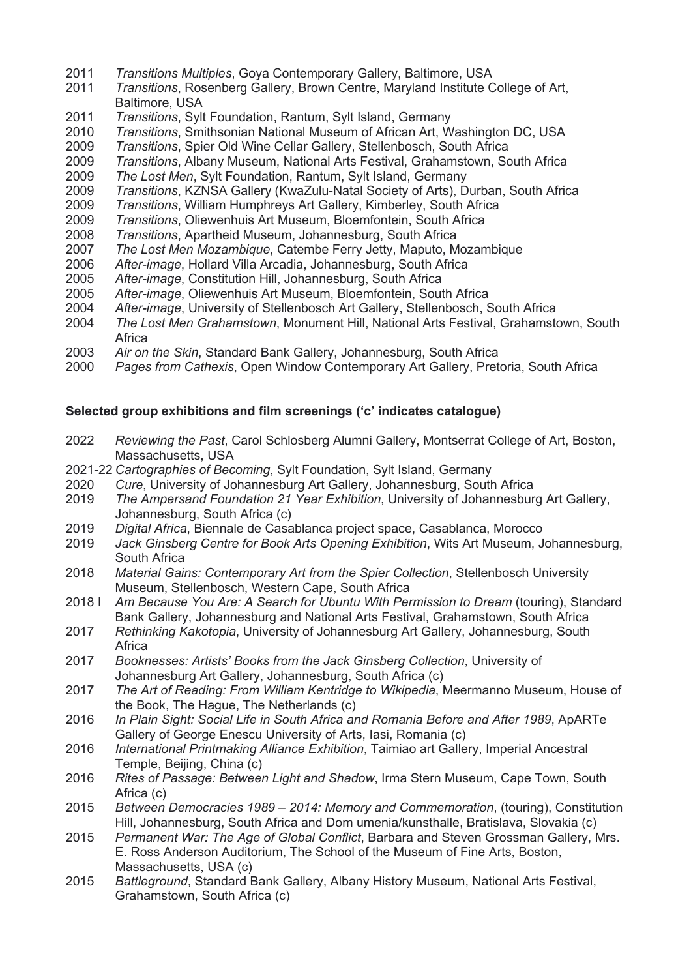- *Transitions Multiples*, Goya Contemporary Gallery, Baltimore, USA
- *Transitions*, Rosenberg Gallery, Brown Centre, Maryland Institute College of Art, Baltimore, USA
- *Transitions*, Sylt Foundation, Rantum, Sylt Island, Germany
- *Transitions*, Smithsonian National Museum of African Art, Washington DC, USA
- *Transitions*, Spier Old Wine Cellar Gallery, Stellenbosch, South Africa
- *Transitions*, Albany Museum, National Arts Festival, Grahamstown, South Africa
- *The Lost Men*, Sylt Foundation, Rantum, Sylt Island, Germany
- *Transitions*, KZNSA Gallery (KwaZulu-Natal Society of Arts), Durban, South Africa
- *Transitions*, William Humphreys Art Gallery, Kimberley, South Africa
- *Transitions*, Oliewenhuis Art Museum, Bloemfontein, South Africa
- *Transitions*, Apartheid Museum, Johannesburg, South Africa
- *The Lost Men Mozambique*, Catembe Ferry Jetty, Maputo, Mozambique
- *After-image*, Hollard Villa Arcadia, Johannesburg, South Africa
- *After-image*, Constitution Hill, Johannesburg, South Africa
- *After-image*, Oliewenhuis Art Museum, Bloemfontein, South Africa
- *After-image*, University of Stellenbosch Art Gallery, Stellenbosch, South Africa
- *The Lost Men Grahamstown*, Monument Hill, National Arts Festival, Grahamstown, South **Africa**
- *Air on the Skin*, Standard Bank Gallery, Johannesburg, South Africa
- *Pages from Cathexis*, Open Window Contemporary Art Gallery, Pretoria, South Africa

#### **Selected group exhibitions and film screenings ('c' indicates catalogue)**

- *Reviewing the Past*, Carol Schlosberg Alumni Gallery, Montserrat College of Art, Boston, Massachusetts, USA
- 2021-22 *Cartographies of Becoming*, Sylt Foundation, Sylt Island, Germany
- *Cure*, University of Johannesburg Art Gallery, Johannesburg, South Africa
- *The Ampersand Foundation 21 Year Exhibition*, University of Johannesburg Art Gallery, Johannesburg, South Africa (c)
- *Digital Africa*, Biennale de Casablanca project space, Casablanca, Morocco
- *Jack Ginsberg Centre for Book Arts Opening Exhibition*, Wits Art Museum, Johannesburg, South Africa
- *Material Gains: Contemporary Art from the Spier Collection*, Stellenbosch University Museum, Stellenbosch, Western Cape, South Africa
- 2018 I *Am Because You Are: A Search for Ubuntu With Permission to Dream* (touring), Standard Bank Gallery, Johannesburg and National Arts Festival, Grahamstown, South Africa
- *Rethinking Kakotopia*, University of Johannesburg Art Gallery, Johannesburg, South Africa
- *Booknesses: Artists' Books from the Jack Ginsberg Collection*, University of Johannesburg Art Gallery, Johannesburg, South Africa (c)
- *The Art of Reading: From William Kentridge to Wikipedia*, Meermanno Museum, House of the Book, The Hague, The Netherlands (c)
- *In Plain Sight: Social Life in South Africa and Romania Before and After 1989*, ApARTe Gallery of George Enescu University of Arts, Iasi, Romania (c)
- *International Printmaking Alliance Exhibition*, Taimiao art Gallery, Imperial Ancestral Temple, Beijing, China (c)
- *Rites of Passage: Between Light and Shadow*, Irma Stern Museum, Cape Town, South Africa (c)
- *Between Democracies 1989 – 2014: Memory and Commemoration*, (touring), Constitution Hill, Johannesburg, South Africa and Dom umenia/kunsthalle, Bratislava, Slovakia (c)
- *Permanent War: The Age of Global Conflict*, Barbara and Steven Grossman Gallery, Mrs. E. Ross Anderson Auditorium, The School of the Museum of Fine Arts, Boston, Massachusetts, USA (c)
- *Battleground*, Standard Bank Gallery, Albany History Museum, National Arts Festival, Grahamstown, South Africa (c)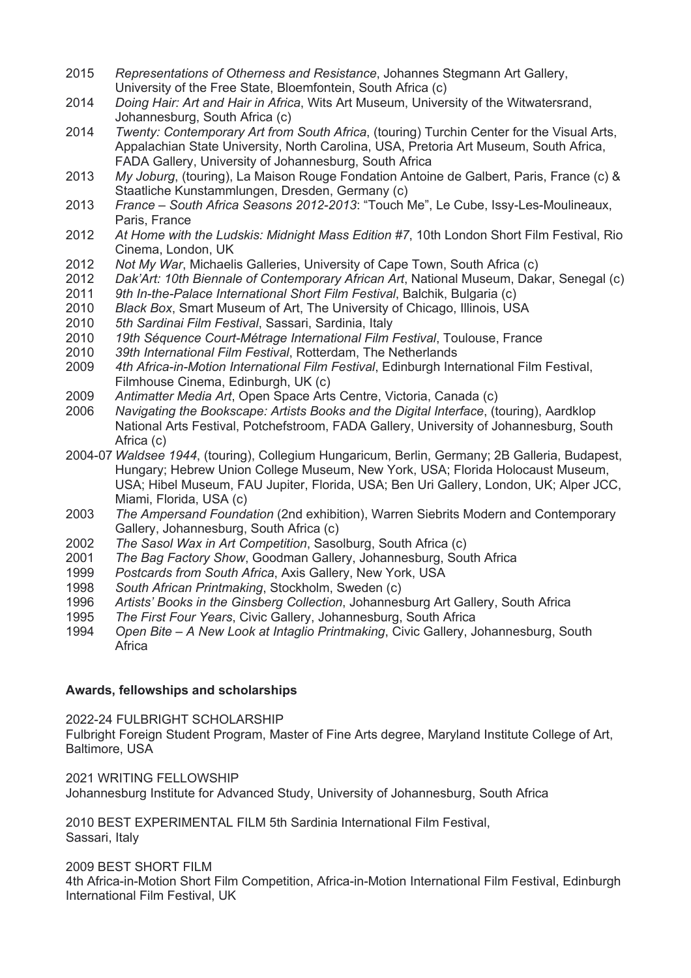- 2015 *Representations of Otherness and Resistance*, Johannes Stegmann Art Gallery, University of the Free State, Bloemfontein, South Africa (c)
- 2014 *Doing Hair: Art and Hair in Africa*, Wits Art Museum, University of the Witwatersrand, Johannesburg, South Africa (c)
- 2014 *Twenty: Contemporary Art from South Africa*, (touring) Turchin Center for the Visual Arts, Appalachian State University, North Carolina, USA, Pretoria Art Museum, South Africa, FADA Gallery, University of Johannesburg, South Africa
- 2013 *My Joburg*, (touring), La Maison Rouge Fondation Antoine de Galbert, Paris, France (c) & Staatliche Kunstammlungen, Dresden, Germany (c)
- 2013 *France – South Africa Seasons 2012-2013*: "Touch Me", Le Cube, Issy-Les-Moulineaux, Paris, France
- 2012 *At Home with the Ludskis: Midnight Mass Edition #7*, 10th London Short Film Festival, Rio Cinema, London, UK
- 2012 *Not My War*, Michaelis Galleries, University of Cape Town, South Africa (c)
- 2012 *Dak'Art: 10th Biennale of Contemporary African Art*, National Museum, Dakar, Senegal (c)
- 2011 *9th In-the-Palace International Short Film Festival*, Balchik, Bulgaria (c)
- 2010 *Black Box*, Smart Museum of Art, The University of Chicago, Illinois, USA
- 2010 *5th Sardinai Film Festival*, Sassari, Sardinia, Italy
- 2010 *19th Séquence Court-Métrage International Film Festival*, Toulouse, France
- 2010 *39th International Film Festival*, Rotterdam, The Netherlands
- 2009 *4th Africa-in-Motion International Film Festival*, Edinburgh International Film Festival, Filmhouse Cinema, Edinburgh, UK (c)
- 2009 *Antimatter Media Art*, Open Space Arts Centre, Victoria, Canada (c)
- 2006 *Navigating the Bookscape: Artists Books and the Digital Interface*, (touring), Aardklop National Arts Festival, Potchefstroom, FADA Gallery, University of Johannesburg, South Africa (c)
- 2004-07 *Waldsee 1944*, (touring), Collegium Hungaricum, Berlin, Germany; 2B Galleria, Budapest, Hungary; Hebrew Union College Museum, New York, USA; Florida Holocaust Museum, USA; Hibel Museum, FAU Jupiter, Florida, USA; Ben Uri Gallery, London, UK; Alper JCC, Miami, Florida, USA (c)
- 2003 *The Ampersand Foundation* (2nd exhibition), Warren Siebrits Modern and Contemporary Gallery, Johannesburg, South Africa (c)
- 2002 *The Sasol Wax in Art Competition*, Sasolburg, South Africa (c)
- 2001 *The Bag Factory Show*, Goodman Gallery, Johannesburg, South Africa
- 1999 *Postcards from South Africa*, Axis Gallery, New York, USA
- 1998 *South African Printmaking*, Stockholm, Sweden (c)
- 1996 *Artists' Books in the Ginsberg Collection*, Johannesburg Art Gallery, South Africa
- 1995 *The First Four Years*, Civic Gallery, Johannesburg, South Africa
- 1994 *Open Bite – A New Look at Intaglio Printmaking*, Civic Gallery, Johannesburg, South **Africa**

#### **Awards, fellowships and scholarships**

2022-24 FULBRIGHT SCHOLARSHIP

Fulbright Foreign Student Program, Master of Fine Arts degree, Maryland Institute College of Art, Baltimore, USA

2021 WRITING FELLOWSHIP Johannesburg Institute for Advanced Study, University of Johannesburg, South Africa

2010 BEST EXPERIMENTAL FILM 5th Sardinia International Film Festival, Sassari, Italy

2009 BEST SHORT FILM

4th Africa-in-Motion Short Film Competition, Africa-in-Motion International Film Festival, Edinburgh International Film Festival, UK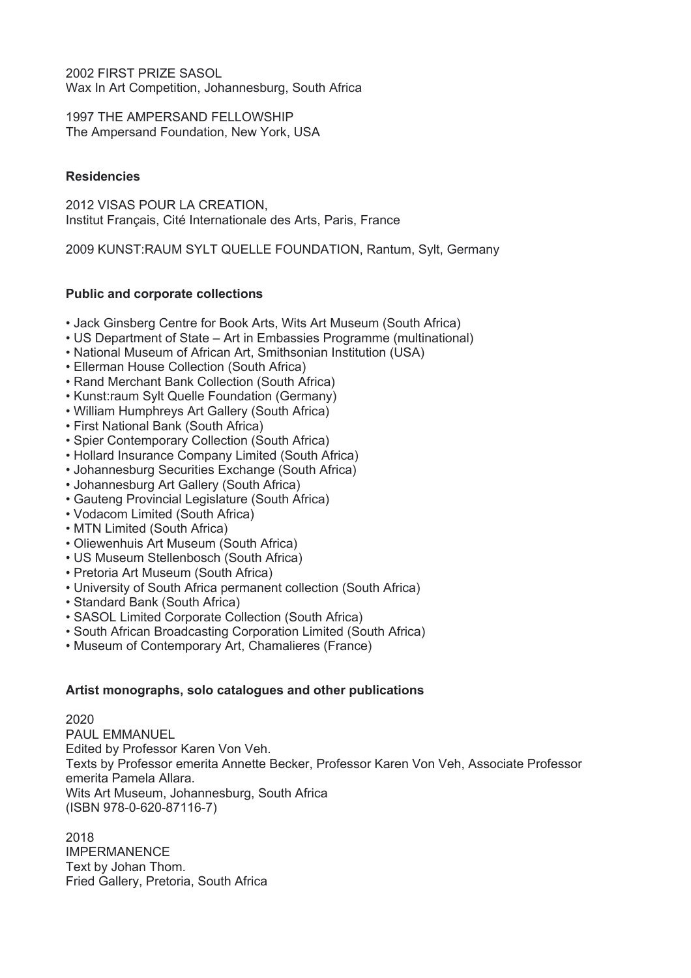2002 FIRST PRIZE SASOL Wax In Art Competition, Johannesburg, South Africa

1997 THE AMPERSAND FELLOWSHIP The Ampersand Foundation, New York, USA

## **Residencies**

2012 VISAS POUR LA CREATION, Institut Français, Cité Internationale des Arts, Paris, France

2009 KUNST:RAUM SYLT QUELLE FOUNDATION, Rantum, Sylt, Germany

# **Public and corporate collections**

- Jack Ginsberg Centre for Book Arts, Wits Art Museum (South Africa)
- US Department of State Art in Embassies Programme (multinational)
- National Museum of African Art, Smithsonian Institution (USA)
- Ellerman House Collection (South Africa)
- Rand Merchant Bank Collection (South Africa)
- Kunst:raum Sylt Quelle Foundation (Germany)
- William Humphreys Art Gallery (South Africa)
- First National Bank (South Africa)
- Spier Contemporary Collection (South Africa)
- Hollard Insurance Company Limited (South Africa)
- Johannesburg Securities Exchange (South Africa)
- Johannesburg Art Gallery (South Africa)
- Gauteng Provincial Legislature (South Africa)
- Vodacom Limited (South Africa)
- MTN Limited (South Africa)
- Oliewenhuis Art Museum (South Africa)
- US Museum Stellenbosch (South Africa)
- Pretoria Art Museum (South Africa)
- University of South Africa permanent collection (South Africa)
- Standard Bank (South Africa)
- SASOL Limited Corporate Collection (South Africa)
- South African Broadcasting Corporation Limited (South Africa)
- Museum of Contemporary Art, Chamalieres (France)

# **Artist monographs, solo catalogues and other publications**

2020 PAUL EMMANUEL Edited by Professor Karen Von Veh. Texts by Professor emerita Annette Becker, Professor Karen Von Veh, Associate Professor emerita Pamela Allara. Wits Art Museum, Johannesburg, South Africa (ISBN 978-0-620-87116-7)

2018 IMPERMANENCE Text by Johan Thom. Fried Gallery, Pretoria, South Africa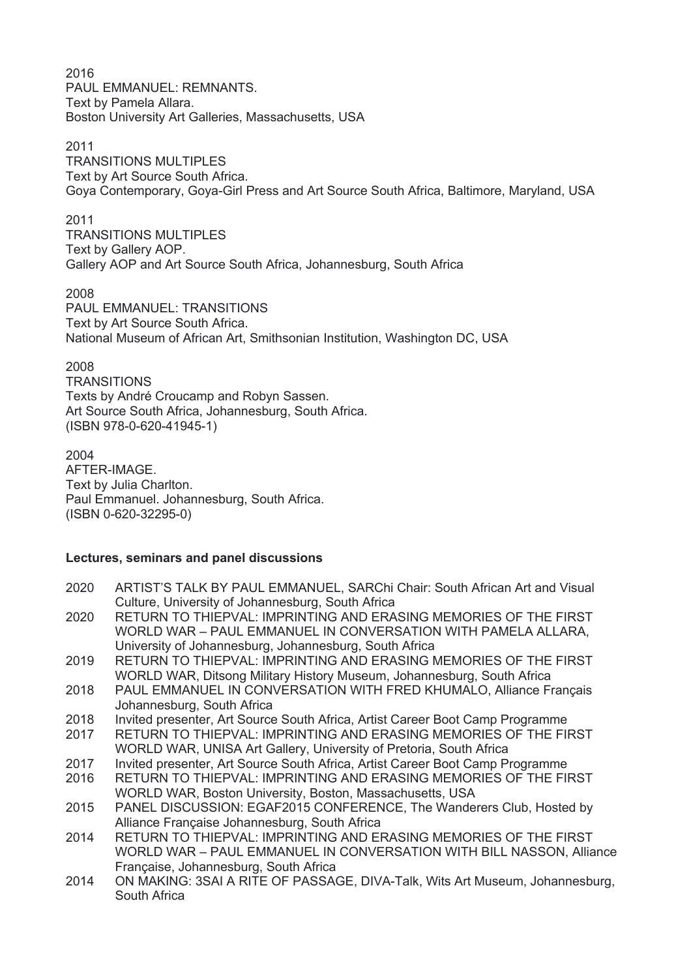2016 PAUL EMMANUEL: REMNANTS. Text by Pamela Allara. Boston University Art Galleries, Massachusetts, USA

#### 2011

TRANSITIONS MULTIPLES Text by Art Source South Africa. Goya Contemporary, Goya-Girl Press and Art Source South Africa, Baltimore, Maryland, USA

## 2011

TRANSITIONS MULTIPLES Text by Gallery AOP. Gallery AOP and Art Source South Africa, Johannesburg, South Africa

#### 2008

PAUL EMMANUEL: TRANSITIONS Text by Art Source South Africa. National Museum of African Art, Smithsonian Institution, Washington DC, USA

## 2008

**TRANSITIONS** Texts by André Croucamp and Robyn Sassen. Art Source South Africa, Johannesburg, South Africa. (ISBN 978-0-620-41945-1)

#### 2004

AFTER-IMAGE. Text by Julia Charlton. Paul Emmanuel. Johannesburg, South Africa. (ISBN 0-620-32295-0)

## **Lectures, seminars and panel discussions**

- 2020 ARTIST'S TALK BY PAUL EMMANUEL, SARChi Chair: South African Art and Visual Culture, University of Johannesburg, South Africa
- 2020 RETURN TO THIEPVAL: IMPRINTING AND ERASING MEMORIES OF THE FIRST WORLD WAR – PAUL EMMANUEL IN CONVERSATION WITH PAMELA ALLARA, University of Johannesburg, Johannesburg, South Africa
- 2019 RETURN TO THIEPVAL: IMPRINTING AND ERASING MEMORIES OF THE FIRST WORLD WAR, Ditsong Military History Museum, Johannesburg, South Africa
- 2018 PAUL EMMANUEL IN CONVERSATION WITH FRED KHUMALO, Alliance Français Johannesburg, South Africa
- 2018 Invited presenter, Art Source South Africa, Artist Career Boot Camp Programme
- 2017 RETURN TO THIEPVAL: IMPRINTING AND ERASING MEMORIES OF THE FIRST WORLD WAR, UNISA Art Gallery, University of Pretoria, South Africa
- 2017 Invited presenter, Art Source South Africa, Artist Career Boot Camp Programme
- 2016 RETURN TO THIEPVAL: IMPRINTING AND ERASING MEMORIES OF THE FIRST WORLD WAR, Boston University, Boston, Massachusetts, USA
- 2015 PANEL DISCUSSION: EGAF2015 CONFERENCE, The Wanderers Club, Hosted by Alliance Française Johannesburg, South Africa
- 2014 RETURN TO THIEPVAL: IMPRINTING AND ERASING MEMORIES OF THE FIRST WORLD WAR – PAUL EMMANUEL IN CONVERSATION WITH BILL NASSON, Alliance Française, Johannesburg, South Africa
- 2014 ON MAKING: 3SAI A RITE OF PASSAGE, DIVA-Talk, Wits Art Museum, Johannesburg, South Africa